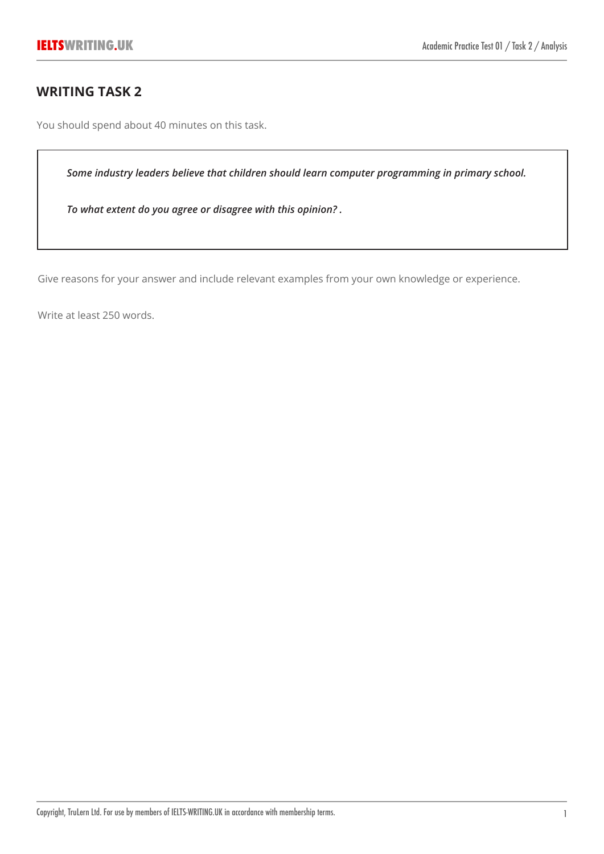# **WRITING TASK 2**

You should spend about 40 minutes on this task.

*Some industry leaders believe that children should learn computer programming in primary school.*

*To what extent do you agree or disagree with this opinion? .*

Give reasons for your answer and include relevant examples from your own knowledge or experience.

Write at least 250 words.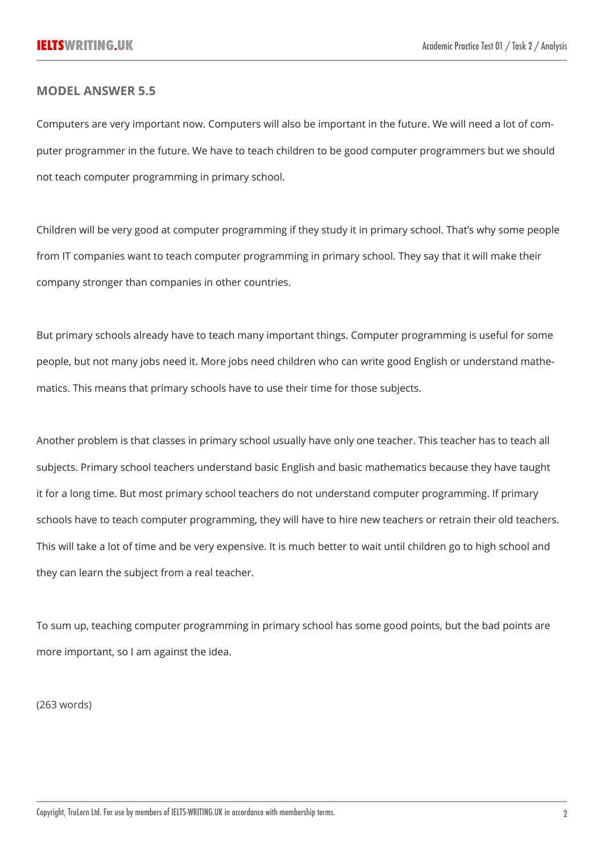#### **MODEL ANSWER 5.5**

Computers are very important now. Computers will also be important in the future. We will need a lot of computer programmer in the future. We have to teach children to be good computer programmers but we should not teach computer programming in primary school.

Children will be very good at computer programming if they study it in primary school. That's why some people from IT companies want to teach computer programming in primary school. They say that it will make their company stronger than companies in other countries.

But primary schools already have to teach many important things. Computer programming is useful for some people, but not many jobs need it. More jobs need children who can write good English or understand mathematics. This means that primary schools have to use their time for those subjects.

Another problem is that classes in primary school usually have only one teacher. This teacher has to teach all subjects. Primary school teachers understand basic English and basic mathematics because they have taught it for a long time. But most primary school teachers do not understand computer programming. If primary schools have to teach computer programming, they will have to hire new teachers or retrain their old teachers. This will take a lot of time and be very expensive. It is much better to wait until children go to high school and they can learn the subject from a real teacher.

To sum up, teaching computer programming in primary school has some good points, but the bad points are more important, so I am against the idea.

(263 words)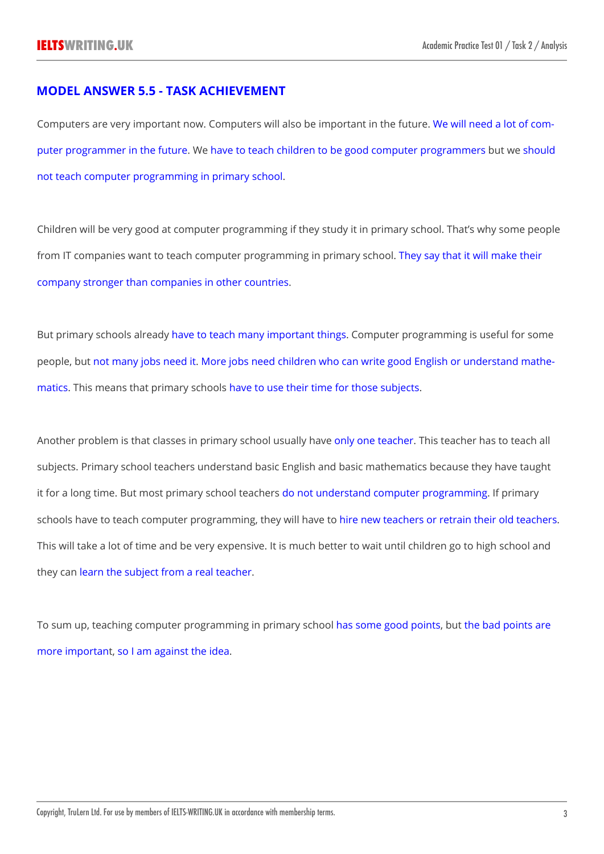## **MODEL ANSWER 5.5 - TASK ACHIEVEMENT**

Computers are very important now. Computers will also be important in the future. We will need a lot of computer programmer in the future. We have to teach children to be good computer programmers but we should not teach computer programming in primary school.

Children will be very good at computer programming if they study it in primary school. That's why some people from IT companies want to teach computer programming in primary school. They say that it will make their company stronger than companies in other countries.

But primary schools already have to teach many important things. Computer programming is useful for some people, but not many jobs need it. More jobs need children who can write good English or understand mathematics. This means that primary schools have to use their time for those subjects.

Another problem is that classes in primary school usually have only one teacher. This teacher has to teach all subjects. Primary school teachers understand basic English and basic mathematics because they have taught it for a long time. But most primary school teachers do not understand computer programming. If primary schools have to teach computer programming, they will have to hire new teachers or retrain their old teachers. This will take a lot of time and be very expensive. It is much better to wait until children go to high school and they can learn the subject from a real teacher.

To sum up, teaching computer programming in primary school has some good points, but the bad points are more important, so I am against the idea.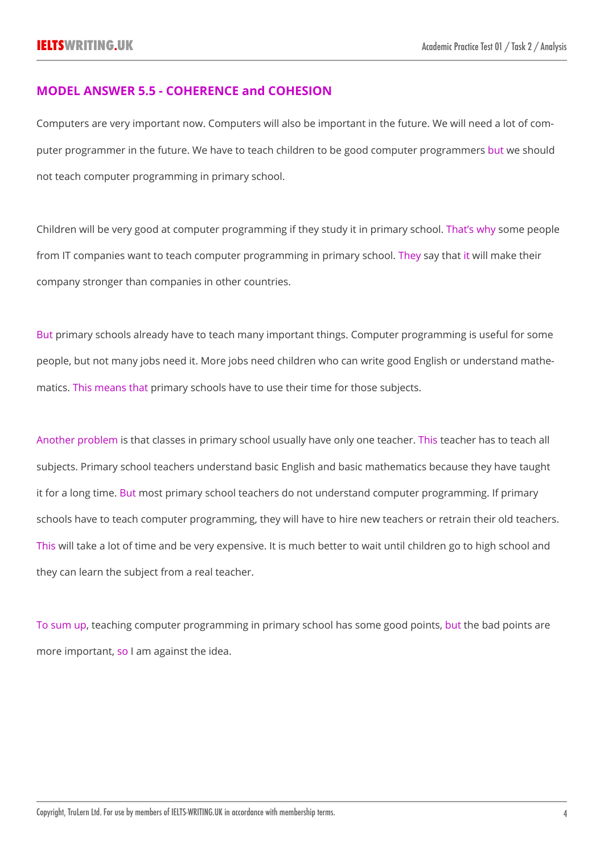### **MODEL ANSWER 5.5 - COHERENCE and COHESION**

Computers are very important now. Computers will also be important in the future. We will need a lot of computer programmer in the future. We have to teach children to be good computer programmers but we should not teach computer programming in primary school.

Children will be very good at computer programming if they study it in primary school. That's why some people from IT companies want to teach computer programming in primary school. They say that it will make their company stronger than companies in other countries.

But primary schools already have to teach many important things. Computer programming is useful for some people, but not many jobs need it. More jobs need children who can write good English or understand mathematics. This means that primary schools have to use their time for those subjects.

Another problem is that classes in primary school usually have only one teacher. This teacher has to teach all subjects. Primary school teachers understand basic English and basic mathematics because they have taught it for a long time. But most primary school teachers do not understand computer programming. If primary schools have to teach computer programming, they will have to hire new teachers or retrain their old teachers. This will take a lot of time and be very expensive. It is much better to wait until children go to high school and they can learn the subject from a real teacher.

To sum up, teaching computer programming in primary school has some good points, but the bad points are more important, so I am against the idea.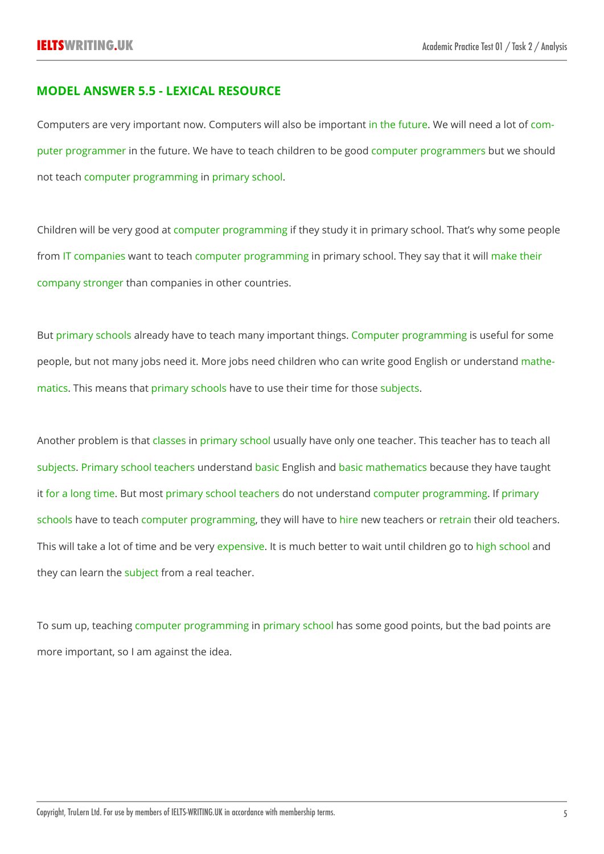## **MODEL ANSWER 5.5 - LEXICAL RESOURCE**

Computers are very important now. Computers will also be important in the future. We will need a lot of computer programmer in the future. We have to teach children to be good computer programmers but we should not teach computer programming in primary school.

Children will be very good at computer programming if they study it in primary school. That's why some people from IT companies want to teach computer programming in primary school. They say that it will make their company stronger than companies in other countries.

But primary schools already have to teach many important things. Computer programming is useful for some people, but not many jobs need it. More jobs need children who can write good English or understand mathematics. This means that primary schools have to use their time for those subjects.

Another problem is that classes in primary school usually have only one teacher. This teacher has to teach all subjects. Primary school teachers understand basic English and basic mathematics because they have taught it for a long time. But most primary school teachers do not understand computer programming. If primary schools have to teach computer programming, they will have to hire new teachers or retrain their old teachers. This will take a lot of time and be very expensive. It is much better to wait until children go to high school and they can learn the subject from a real teacher.

To sum up, teaching computer programming in primary school has some good points, but the bad points are more important, so I am against the idea.